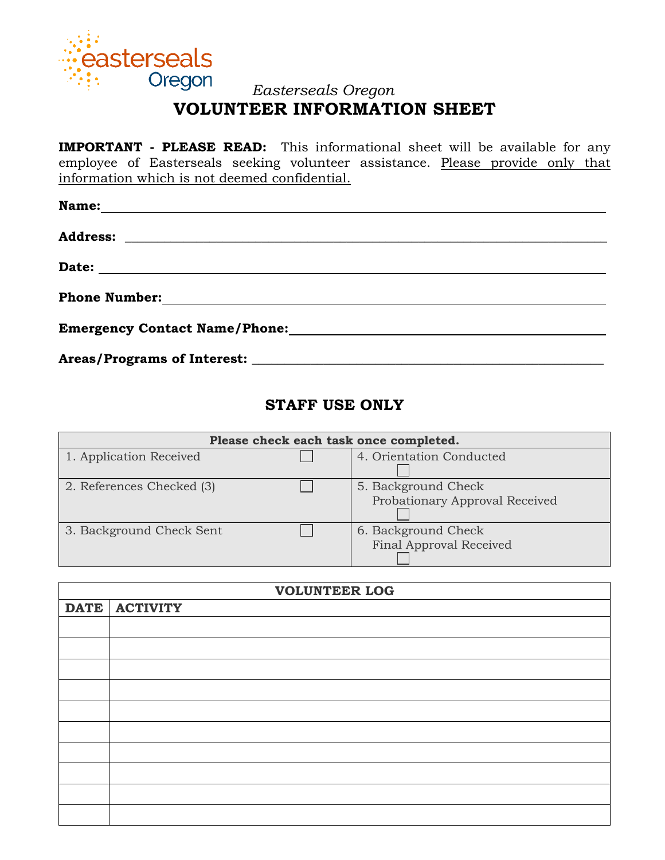

### *Easterseals Oregon* **VOLUNTEER INFORMATION SHEET**

**IMPORTANT - PLEASE READ:** This informational sheet will be available for any employee of Easterseals seeking volunteer assistance. Please provide only that information which is not deemed confidential.

| <b>Name:</b><br><u> 1989 - Jan Sterling am Francisco Communication (f. 1989)</u> |
|----------------------------------------------------------------------------------|
|                                                                                  |
|                                                                                  |
| Phone Number:<br><u> </u>                                                        |
|                                                                                  |
|                                                                                  |

# **STAFF USE ONLY**

| Please check each task once completed. |  |                                                       |  |  |  |  |
|----------------------------------------|--|-------------------------------------------------------|--|--|--|--|
| 1. Application Received                |  | 4. Orientation Conducted                              |  |  |  |  |
| 2. References Checked (3)              |  | 5. Background Check<br>Probationary Approval Received |  |  |  |  |
| 3. Background Check Sent               |  | 6. Background Check<br>Final Approval Received        |  |  |  |  |

| <b>VOLUNTEER LOG</b> |               |  |  |  |  |  |
|----------------------|---------------|--|--|--|--|--|
|                      | DATE ACTIVITY |  |  |  |  |  |
|                      |               |  |  |  |  |  |
|                      |               |  |  |  |  |  |
|                      |               |  |  |  |  |  |
|                      |               |  |  |  |  |  |
|                      |               |  |  |  |  |  |
|                      |               |  |  |  |  |  |
|                      |               |  |  |  |  |  |
|                      |               |  |  |  |  |  |
|                      |               |  |  |  |  |  |
|                      |               |  |  |  |  |  |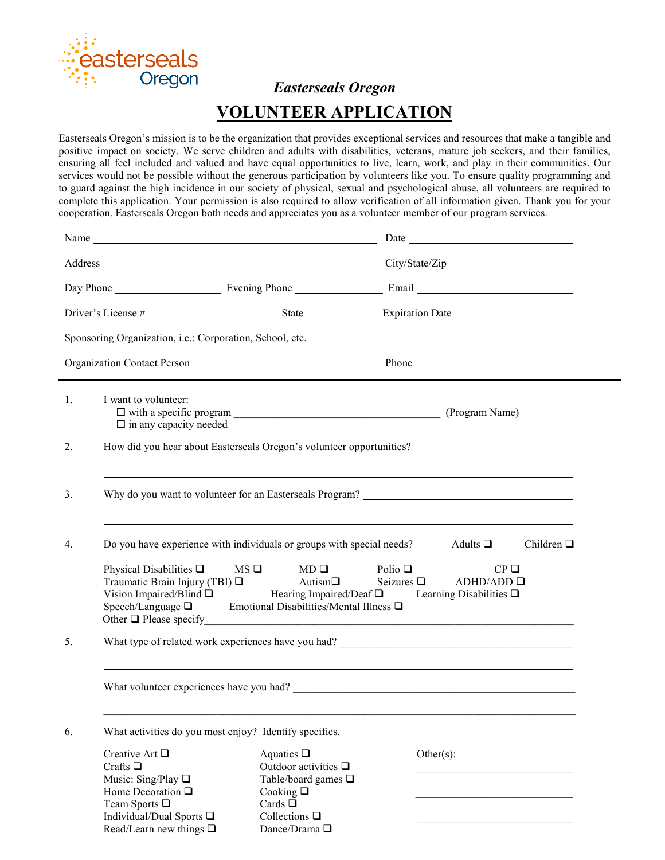

 *Easterseals Oregon*

# **VOLUNTEER APPLICATION**

Easterseals Oregon's mission is to be the organization that provides exceptional services and resources that make a tangible and positive impact on society. We serve children and adults with disabilities, veterans, mature job seekers, and their families, ensuring all feel included and valued and have equal opportunities to live, learn, work, and play in their communities. Our services would not be possible without the generous participation by volunteers like you. To ensure quality programming and to guard against the high incidence in our society of physical, sexual and psychological abuse, all volunteers are required to complete this application. Your permission is also required to allow verification of all information given. Thank you for your cooperation. Easterseals Oregon both needs and appreciates you as a volunteer member of our program services.

| 1.<br>I want to volunteer:<br>$\Box$ in any capacity needed                                                                                                                          |                                                                                                                                                  |                                                                                                                                  |  |  |  |
|--------------------------------------------------------------------------------------------------------------------------------------------------------------------------------------|--------------------------------------------------------------------------------------------------------------------------------------------------|----------------------------------------------------------------------------------------------------------------------------------|--|--|--|
| 2.                                                                                                                                                                                   |                                                                                                                                                  | How did you hear about Easterseals Oregon's volunteer opportunities?                                                             |  |  |  |
| 3.                                                                                                                                                                                   |                                                                                                                                                  | Why do you want to volunteer for an Easterseals Program?                                                                         |  |  |  |
| Do you have experience with individuals or groups with special needs?<br>4.                                                                                                          |                                                                                                                                                  | Children $\square$<br>Adults $\square$                                                                                           |  |  |  |
| Physical Disabilities $\Box$<br>Traumatic Brain Injury (TBI) □<br>Vision Impaired/Blind $\Box$<br>Speech/Language $\square$                                                          | $MS \Box$<br>$MD \Box$<br>Autism $\Box$<br>Emotional Disabilities/Mental Illness $\square$                                                       | Polio $\Box$<br>$CP$ $\square$<br>Seizures $\Box$<br>ADHD/ADD<br>Hearing Impaired/Deaf $\square$ Learning Disabilities $\square$ |  |  |  |
| 5.                                                                                                                                                                                   |                                                                                                                                                  |                                                                                                                                  |  |  |  |
|                                                                                                                                                                                      |                                                                                                                                                  |                                                                                                                                  |  |  |  |
| What activities do you most enjoy? Identify specifics.<br>6.                                                                                                                         |                                                                                                                                                  |                                                                                                                                  |  |  |  |
| Creative Art $\Box$<br>Crafts $\square$<br>Music: Sing/Play $\square$<br>Home Decoration $\Box$<br>Team Sports $\Box$<br>Individual/Dual Sports □<br>Read/Learn new things $\square$ | Aquatics $\Box$<br>Outdoor activities $\Box$<br>Table/board games □<br>Cooking $\square$<br>Cards $\square$<br>Collections $\Box$<br>Dance/Drama | Other $(s)$ :                                                                                                                    |  |  |  |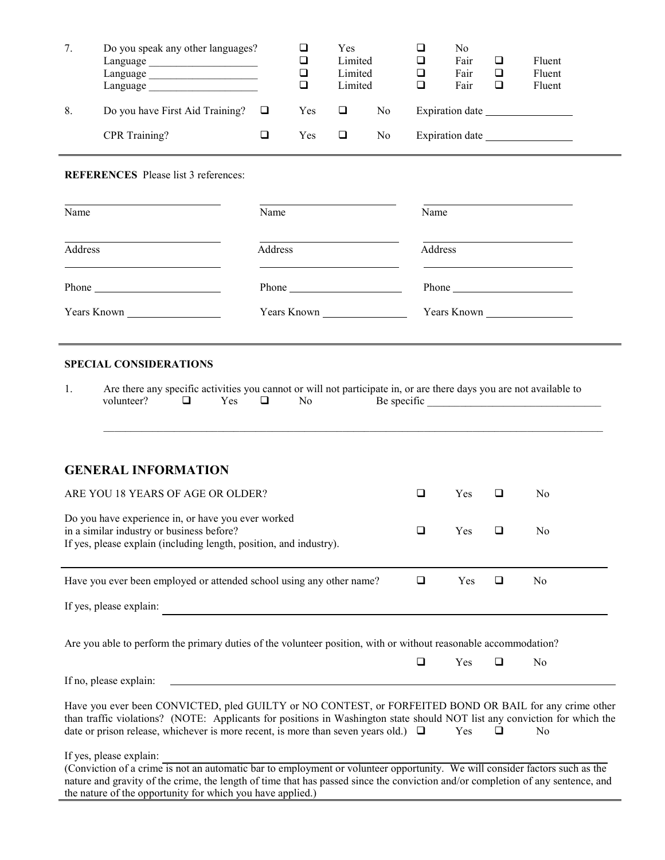| 7. | Do you speak any other languages?<br>Language<br>Language<br>Language |     | ❏<br>❏<br>◻ | Yes<br>Limited<br>Limited<br>Limited |    | ❏<br>Q<br>❏ | No<br>Fair<br>Fair<br>Fair | ❏<br>❏<br>□     | Fluent<br>Fluent<br>Fluent |
|----|-----------------------------------------------------------------------|-----|-------------|--------------------------------------|----|-------------|----------------------------|-----------------|----------------------------|
| 8. | Do you have First Aid Training?                                       | - 8 | Yes         | ❏                                    | No |             |                            |                 |                            |
|    | CPR Training?                                                         |     | Yes         |                                      | No |             |                            | Expiration date |                            |
|    |                                                                       |     |             |                                      |    |             |                            |                 |                            |

#### **REFERENCES** Please list 3 references:

| $\overline{\text{Name}}$ | Name                                                                                                                                                                                                                                 | Name        |
|--------------------------|--------------------------------------------------------------------------------------------------------------------------------------------------------------------------------------------------------------------------------------|-------------|
| Address                  | Address                                                                                                                                                                                                                              | Address     |
|                          | Phone <u>superior and the set of the set of the set of the set of the set of the set of the set of the set of the set of the set of the set of the set of the set of the set of the set of the set of the set of the set of the </u> |             |
| Years Known              | Years Known                                                                                                                                                                                                                          | Years Known |

#### **SPECIAL CONSIDERATIONS**

|            |     |     | Are there any specific activities you cannot or will not participate in, or are there days you are not available to |
|------------|-----|-----|---------------------------------------------------------------------------------------------------------------------|
| volunteer? | Yes | No. | Be specific                                                                                                         |

\_\_\_\_\_\_\_\_\_\_\_\_\_\_\_\_\_\_\_\_\_\_\_\_\_\_\_\_\_\_\_\_\_\_\_\_\_\_\_\_\_\_\_\_\_\_\_\_\_\_\_\_\_\_\_\_\_\_\_\_\_\_\_\_\_\_\_\_\_\_\_\_\_\_\_\_\_\_\_\_\_\_\_\_\_\_\_\_\_\_\_\_

| <b>GENERAL INFORMATION</b>                                                                                                                                            |   |            |                |  |
|-----------------------------------------------------------------------------------------------------------------------------------------------------------------------|---|------------|----------------|--|
| ARE YOU 18 YEARS OF AGE OR OLDER?                                                                                                                                     | ப | <b>Yes</b> | No.            |  |
| Do you have experience in, or have you ever worked<br>in a similar industry or business before?<br>If yes, please explain (including length, position, and industry). | ப | <b>Yes</b> | No             |  |
| Have you ever been employed or attended school using any other name?                                                                                                  | ⊔ | <b>Yes</b> | N <sub>0</sub> |  |
| If yes, please explain:                                                                                                                                               |   |            |                |  |
| Are you able to perform the primary duties of the volunteer position, with or without reasonable accommodation?                                                       |   |            |                |  |

If no, please explain:

Have you ever been CONVICTED, pled GUILTY or NO CONTEST, or FORFEITED BOND OR BAIL for any crime other than traffic violations? (NOTE: Applicants for positions in Washington state should NOT list any conviction for which the date or prison release, whichever is more recent, is more than seven years old.)  $\Box$  Yes  $\Box$  No

 $\Box$  Yes  $\Box$  No

If yes, please explain:

(Conviction of a crime is not an automatic bar to employment or volunteer opportunity. We will consider factors such as the nature and gravity of the crime, the length of time that has passed since the conviction and/or completion of any sentence, and the nature of the opportunity for which you have applied.)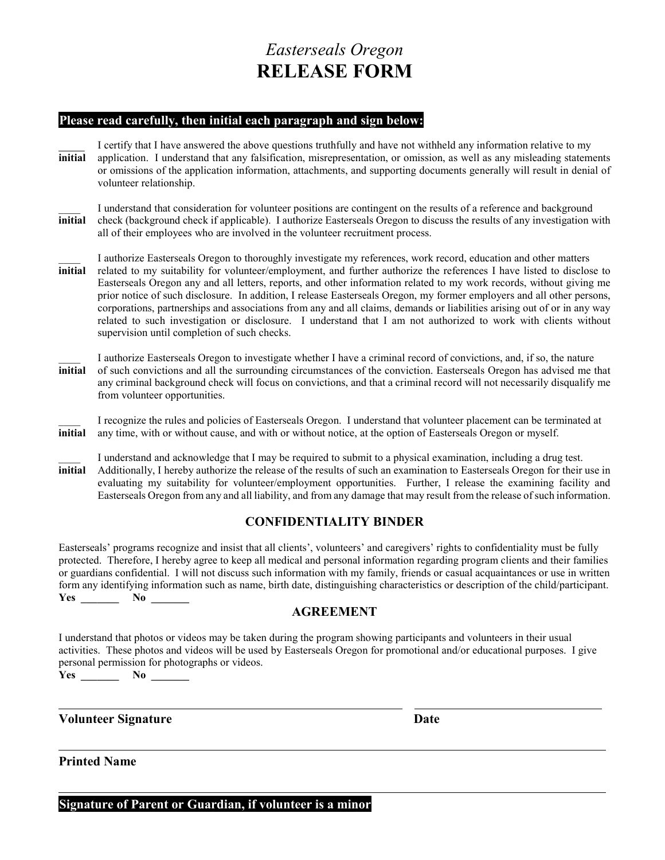# *Easterseals Oregon* **RELEASE FORM**

#### **Please read carefully, then initial each paragraph and sign below:**

I certify that I have answered the above questions truthfully and have not withheld any information relative to my **initial** application. I understand that any falsification, misrepresentation, or omission, as well as any misleading statements or omissions of the application information, attachments, and supporting documents generally will result in denial of volunteer relationship.

I understand that consideration for volunteer positions are contingent on the results of a reference and background **initial** check (background check if applicable). I authorize Easterseals Oregon to discuss the results of any investigation with all of their employees who are involved in the volunteer recruitment process.

- \_\_\_\_ I authorize Easterseals Oregon to thoroughly investigate my references, work record, education and other matters **initial** related to my suitability for volunteer/employment, and further authorize the references I have listed to disclose to Easterseals Oregon any and all letters, reports, and other information related to my work records, without giving me prior notice of such disclosure. In addition, I release Easterseals Oregon, my former employers and all other persons, corporations, partnerships and associations from any and all claims, demands or liabilities arising out of or in any way related to such investigation or disclosure. I understand that I am not authorized to work with clients without supervision until completion of such checks.
- \_\_\_\_ I authorize Easterseals Oregon to investigate whether I have a criminal record of convictions, and, if so, the nature **initial** of such convictions and all the surrounding circumstances of the conviction. Easterseals Oregon has advised me that any criminal background check will focus on convictions, and that a criminal record will not necessarily disqualify me from volunteer opportunities.

\_\_\_\_ I recognize the rules and policies of Easterseals Oregon. I understand that volunteer placement can be terminated at **initial** any time, with or without cause, and with or without notice, at the option of Easterseals Oregon or myself.

I understand and acknowledge that I may be required to submit to a physical examination, including a drug test. **initial** Additionally, I hereby authorize the release of the results of such an examination to Easterseals Oregon for their use in evaluating my suitability for volunteer/employment opportunities. Further, I release the examining facility and Easterseals Oregon from any and all liability, and from any damage that may result from the release of such information.

### **CONFIDENTIALITY BINDER**

Easterseals' programs recognize and insist that all clients', volunteers' and caregivers' rights to confidentiality must be fully protected. Therefore, I hereby agree to keep all medical and personal information regarding program clients and their families or guardians confidential. I will not discuss such information with my family, friends or casual acquaintances or use in written form any identifying information such as name, birth date, distinguishing characteristics or description of the child/participant.  $Yes$  **No** 

### **AGREEMENT**

I understand that photos or videos may be taken during the program showing participants and volunteers in their usual activities. These photos and videos will be used by Easterseals Oregon for promotional and/or educational purposes. I give personal permission for photographs or videos.

**Yes \_\_\_\_\_\_\_ No \_\_\_\_\_\_\_**

#### **Volunteer Signature Date**

**Printed Name**

**Signature of Parent or Guardian, if volunteer is a minor**